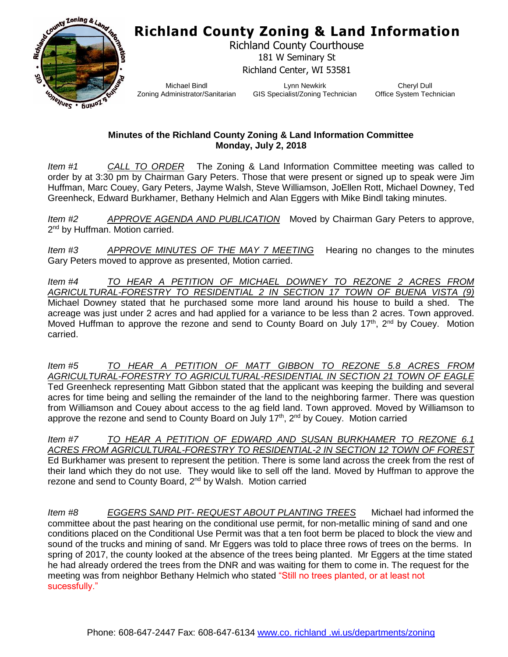## **Richland County Zoning & Land Information**



Richland County Courthouse 181 W Seminary St Richland Center, WI 53581

Michael Bindl Zoning Administrator/Sanitarian

Lynn Newkirk GIS Specialist/Zoning Technician

Cheryl Dull Office System Technician

## **Minutes of the Richland County Zoning & Land Information Committee Monday, July 2, 2018**

*Item #1 CALL TO ORDER* The Zoning & Land Information Committee meeting was called to order by at 3:30 pm by Chairman Gary Peters. Those that were present or signed up to speak were Jim Huffman, Marc Couey, Gary Peters, Jayme Walsh, Steve Williamson, JoEllen Rott, Michael Downey, Ted Greenheck, Edward Burkhamer, Bethany Helmich and Alan Eggers with Mike Bindl taking minutes.

*Item #2 APPROVE AGENDA AND PUBLICATION* Moved by Chairman Gary Peters to approve, 2<sup>nd</sup> by Huffman. Motion carried.

*Item #3 APPROVE MINUTES OF THE MAY 7 MEETING* Hearing no changes to the minutes Gary Peters moved to approve as presented, Motion carried.

*Item #4 TO HEAR A PETITION OF MICHAEL DOWNEY TO REZONE 2 ACRES FROM AGRICULTURAL-FORESTRY TO RESIDENTIAL 2 IN SECTION 17 TOWN OF BUENA VISTA (9)* Michael Downey stated that he purchased some more land around his house to build a shed. The acreage was just under 2 acres and had applied for a variance to be less than 2 acres. Town approved. Moved Huffman to approve the rezone and send to County Board on July 17<sup>th</sup>, 2<sup>nd</sup> by Couey. Motion carried.

*Item #5 TO HEAR A PETITION OF MATT GIBBON TO REZONE 5.8 ACRES FROM AGRICULTURAL-FORESTRY TO AGRICULTURAL-RESIDENTIAL IN SECTION 21 TOWN OF EAGLE* Ted Greenheck representing Matt Gibbon stated that the applicant was keeping the building and several acres for time being and selling the remainder of the land to the neighboring farmer. There was question from Williamson and Couey about access to the ag field land. Town approved. Moved by Williamson to approve the rezone and send to County Board on July 17<sup>th</sup>, 2<sup>nd</sup> by Couey. Motion carried

*Item #7 TO HEAR A PETITION OF EDWARD AND SUSAN BURKHAMER TO REZONE 6.1 ACRES FROM AGRICULTURAL-FORESTRY TO RESIDENTIAL-2 IN SECTION 12 TOWN OF FOREST* Ed Burkhamer was present to represent the petition. There is some land across the creek from the rest of their land which they do not use. They would like to sell off the land. Moved by Huffman to approve the rezone and send to County Board, 2nd by Walsh. Motion carried

*Item #8 EGGERS SAND PIT- REQUEST ABOUT PLANTING TREES* Michael had informed the committee about the past hearing on the conditional use permit, for non-metallic mining of sand and one conditions placed on the Conditional Use Permit was that a ten foot berm be placed to block the view and sound of the trucks and mining of sand. Mr Eggers was told to place three rows of trees on the berms. In spring of 2017, the county looked at the absence of the trees being planted. Mr Eggers at the time stated he had already ordered the trees from the DNR and was waiting for them to come in. The request for the meeting was from neighbor Bethany Helmich who stated "Still no trees planted, or at least not sucessfully."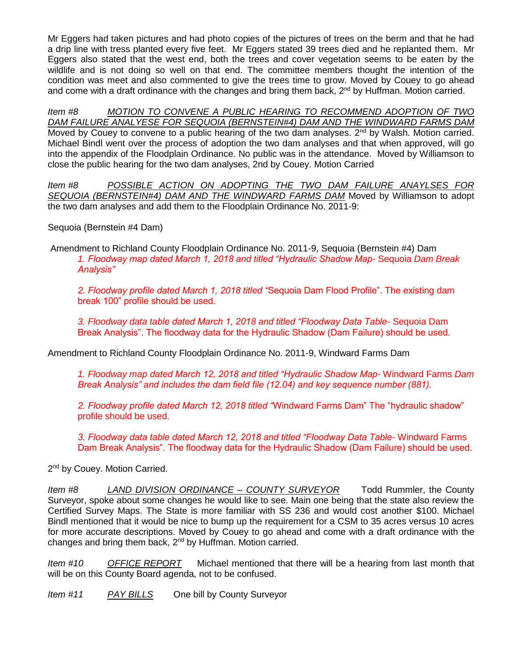Mr Eggers had taken pictures and had photo copies of the pictures of trees on the berm and that he had a drip line with tress planted every five feet. Mr Eggers stated 39 trees died and he replanted them. Mr Eggers also stated that the west end, both the trees and cover vegetation seems to be eaten by the wildlife and is not doing so well on that end. The committee members thought the intention of the condition was meet and also commented to give the trees time to grow. Moved by Couey to go ahead and come with a draft ordinance with the changes and bring them back, 2<sup>nd</sup> by Huffman. Motion carried.

*Item #8 MOTION TO CONVENE A PUBLIC HEARING TO RECOMMEND ADOPTION OF TWO DAM FAILURE ANALYESE FOR SEQUOIA (BERNSTEIN#4) DAM AND THE WINDWARD FARMS DAM* Moved by Couey to convene to a public hearing of the two dam analyses.  $2^{nd}$  by Walsh. Motion carried. Michael Bindl went over the process of adoption the two dam analyses and that when approved, will go into the appendix of the Floodplain Ordinance. No public was in the attendance. Moved by Williamson to close the public hearing for the two dam analyses, 2nd by Couey. Motion Carried

*Item #8 POSSIBLE ACTION ON ADOPTING THE TWO DAM FAILURE ANAYLSES FOR SEQUOIA (BERNSTEIN#4) DAM AND THE WINDWARD FARMS DAM* Moved by Williamson to adopt the two dam analyses and add them to the Floodplain Ordinance No. 2011-9:

Sequoia (Bernstein #4 Dam)

Amendment to Richland County Floodplain Ordinance No. 2011-9, Sequoia (Bernstein #4) Dam *1. Floodway map dated March 1, 2018 and titled "Hydraulic Shadow Map-* Sequoia *Dam Break Analysis"*

*2. Floodway profile dated March 1, 2018 titled "*Sequoia Dam Flood Profile". The existing dam break 100" profile should be used.

*3. Floodway data table dated March 1, 2018 and titled "Floodway Data Table-* Sequoia Dam Break Analysis". The floodway data for the Hydraulic Shadow (Dam Failure) should be used.

Amendment to Richland County Floodplain Ordinance No. 2011-9, Windward Farms Dam

*1. Floodway map dated March 12, 2018 and titled "Hydraulic Shadow Map-* Windward Farms *Dam Break Analysis" and includes the dam field file (12.04) and key sequence number (881).*

*2. Floodway profile dated March 12, 2018 titled "*Windward Farms Dam" The "hydraulic shadow" profile should be used.

*3. Floodway data table dated March 12, 2018 and titled "Floodway Data Table-* Windward Farms Dam Break Analysis". The floodway data for the Hydraulic Shadow (Dam Failure) should be used.

2<sup>nd</sup> by Couey. Motion Carried.

*Item #8 LAND DIVISION ORDINANCE – COUNTY SURVEYOR* Todd Rummler, the County Surveyor, spoke about some changes he would like to see. Main one being that the state also review the Certified Survey Maps. The State is more familiar with SS 236 and would cost another \$100. Michael Bindl mentioned that it would be nice to bump up the requirement for a CSM to 35 acres versus 10 acres for more accurate descriptions. Moved by Couey to go ahead and come with a draft ordinance with the changes and bring them back, 2<sup>nd</sup> by Huffman. Motion carried.

*Item #10 OFFICE REPORT* Michael mentioned that there will be a hearing from last month that will be on this County Board agenda, not to be confused.

*Item #11 PAY BILLS* One bill by County Surveyor